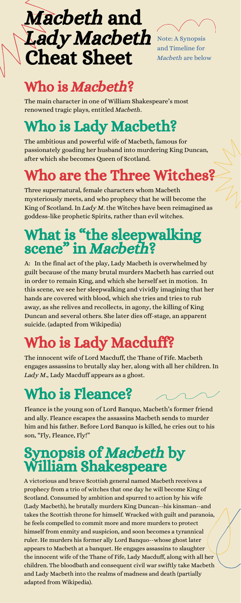## Macbeth and Lady Macbeth Cheat Sheet



Note: A Synopsis and Timeline for Macbeth are below

## Who is Macbeth?

The main character in one of William Shakespeare's most renowned tragic plays, entitled Macbeth.

## Who is Lady Macbeth?

The ambitious and powerful wife of Macbeth, famous for passionately goading her husband into murdering King Duncan, after which she becomes Queen of Scotland.

## What is "the sleepwalking scene" in Macbeth?

## Who are the Three Witches?

Three supernatural, female characters whom Macbeth mysteriously meets, and who prophecy that he will become the King of Scotland. In Lady M. the Witches have been reimagined as goddess-like prophetic Spirits, rather than evil witches.

engages assassins to brutally slay her, along with all her children. In Lady M., Lady Macduff appears as a ghost.

A: In the final act of the play, Lady Macbeth is overwhelmed by guilt because of the many brutal murders Macbeth has carried out in order to remain King, and which she herself set in motion. In this scene, we see her sleepwalking and vividly imagining that her hands are covered with blood, which she tries and tries to rub away, as she relives and recollects, in agony, the killing of King Duncan and several others. She later dies off-stage, an apparent suicide. (adapted from Wikipedia)

## Who is Lady Macduff?

The innocent wife of Lord Macduff, the Thane of Fife. Macbeth

## Who is Fleance?

Fleance is the young son of Lord Banquo, Macbeth's former friend and ally. Fleance escapes the assassins Macbeth sends to murder him and his father. Before Lord Banquo is killed, he cries out to his son, "Fly, Fleance, Fly!"

# Synopsis of Macbeth by William Shakespeare

A victorious and brave Scottish general named Macbeth receives a prophecy from a trio of witches that one day he will become King of Scotland. Consumed by ambition and spurred to action by his wife (Lady Macbeth), he brutally murders King Duncan--his kinsman--and takes the Scottish throne for himself. Wracked with guilt and paranoia, he feels compelled to commit more and more murders to protect himself from enmity and suspicion, and soon becomes a tyrannical ruler. He murders his former ally Lord Banquo--whose ghost later appears to Macbeth at a banquet. He engages assassins to slaughter the innocent wife of the Thane of Fife, Lady Macduff, along with all her children. The bloodbath and consequent civil war swiftly take Macbeth and Lady Macbeth into the realms of madness and death (partially adapted from Wikipedia).